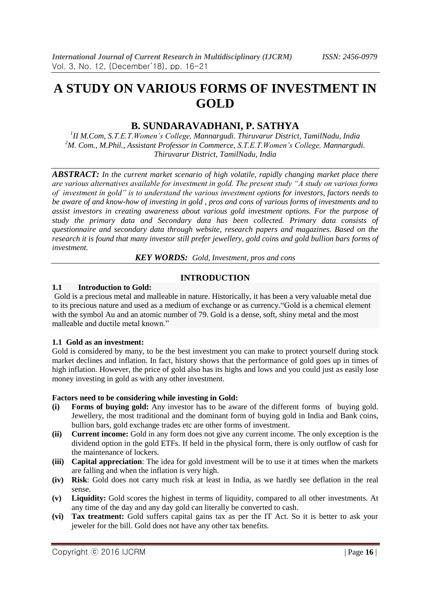# **A STUDY ON VARIOUS FORMS OF INVESTMENT IN GOLD**

# **B. SUNDARAVADHANI, P. SATHYA**

*1 II M.Com, S.T.E.T.Women's College, Mannargudi. Thiruvarur District, TamilNadu, India <sup>2</sup>M. Com., M.Phil., Assistant Professor in Commerce, S.T.E.T.Women's College, Mannargudi. Thiruvarur District, TamilNadu, India*

*ABSTRACT: In the current market scenario of high volatile, rapidly changing market place there are various alternatives available for investment in gold. The present study "A study on various forms of investment in gold" is to understand the various investment options for investors, factors needs to be aware of and know-how of investing in gold , pros and cons of various forms of investments and to assist investors in creating awareness about various gold investment options. For the purpose of study the primary data and Secondary data has been collected. Primary data consists of questionnaire and secondary data through website, research papers and magazines. Based on the research it is found that many investor still prefer jewellery, gold coins and gold bullion bars forms of investment.* 

*KEY WORDS: Gold, Investment, pros and cons*

# **INTRODUCTION**

#### **1.1 Introduction to Gold:**

Gold is a precious metal and malleable in nature. Historically, it has been a very valuable metal due to its precious nature and used as a medium of exchange or as currency."Gold is a chemical element with the symbol Au and an atomic number of 79. Gold is a dense, soft, shiny metal and the most malleable and ductile metal known."

# **1.1 Gold as an investment:**

Gold is considered by many, to be the best investment you can make to protect yourself during stock market declines and inflation. In fact, history shows that the performance of gold goes up in times of high inflation. However, the price of gold also has its highs and lows and you could just as easily lose money investing in gold as with any other investment.

#### **Factors need to be considering while investing in Gold:**

- **(i) Forms of buying gold:** Any investor has to be aware of the different forms of buying gold. Jewellery, the most traditional and the dominant form of buying gold in India and Bank coins, bullion bars, gold exchange trades etc are other forms of investment.
- **(ii) Current income:** Gold in any form does not give any current income. The only exception is the dividend option in the gold ETFs. If held in the physical form, there is only outflow of cash for the maintenance of lockers.
- **(iii) Capital appreciation**: The idea for gold investment will be to use it at times when the markets are falling and when the inflation is very high.
- **(iv) Risk**: Gold does not carry much risk at least in India, as we hardly see deflation in the real sense.
- **(v) Liquidity:** Gold scores the highest in terms of liquidity, compared to all other investments. At any time of the day and any day gold can literally be converted to cash.
- **(vi) Tax treatment:** Gold suffers capital gains tax as per the IT Act. So it is better to ask your jeweler for the bill. Gold does not have any other tax benefits.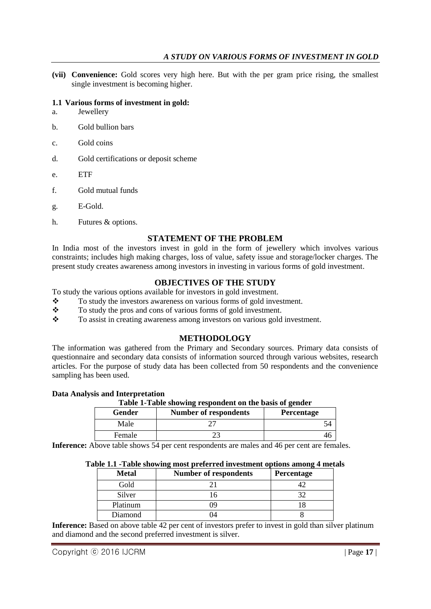**(vii) Convenience:** Gold scores very high here. But with the per gram price rising, the smallest single investment is becoming higher.

# **1.1 Various forms of investment in gold:**

- a. Jewellery
- b. Gold bullion bars
- c. Gold coins
- d. Gold certifications or deposit scheme
- e. ETF
- f. Gold mutual funds
- g. E-Gold.
- h. Futures & options.

# **STATEMENT OF THE PROBLEM**

In India most of the investors invest in gold in the form of jewellery which involves various constraints; includes high making charges, loss of value, safety issue and storage/locker charges. The present study creates awareness among investors in investing in various forms of gold investment.

# **OBJECTIVES OF THE STUDY**

To study the various options available for investors in gold investment.

- $\bullet$  To study the investors awareness on various forms of gold investment.<br> $\bullet$  To study the pros and cons of various forms of gold investment.
- To study the pros and cons of various forms of gold investment.
- \* To assist in creating awareness among investors on various gold investment.

#### **METHODOLOGY**

The information was gathered from the Primary and Secondary sources. Primary data consists of questionnaire and secondary data consists of information sourced through various websites, research articles. For the purpose of study data has been collected from 50 respondents and the convenience sampling has been used.

## **Data Analysis and Interpretation**

**Table 1-Table showing respondent on the basis of gender**

| Gender | <b>Number of respondents</b> | <b>Percentage</b> |
|--------|------------------------------|-------------------|
| Male   |                              | ⊣                 |
| Female |                              |                   |

Inference: Above table shows 54 per cent respondents are males and 46 per cent are females.

#### **Table 1.1 -Table showing most preferred investment options among 4 metals**

| <b>Metal</b> | <b>Number of respondents</b> | Percentage |
|--------------|------------------------------|------------|
| Gold         |                              |            |
| Silver       |                              |            |
| Platinum     | NQ                           |            |
| Diamond      |                              |            |

**Inference:** Based on above table 42 per cent of investors prefer to invest in gold than silver platinum and diamond and the second preferred investment is silver.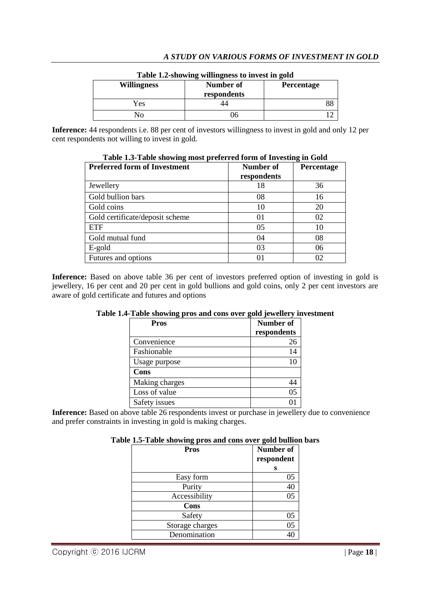| <b>Willingness</b> | <b>Number of</b><br>respondents | <b>Percentage</b> |
|--------------------|---------------------------------|-------------------|
| Yes                |                                 |                   |
|                    | Jh                              |                   |

## **Table 1.2-showing willingness to invest in gold**

**Inference:** 44 respondents i.e. 88 per cent of investors willingness to invest in gold and only 12 per cent respondents not willing to invest in gold.

| <b>Preferred form of Investment</b> | Number of   | <b>Percentage</b> |
|-------------------------------------|-------------|-------------------|
|                                     | respondents |                   |
| Jewellery                           | 18          | 36                |
| Gold bullion bars                   | 08          | 16                |
| Gold coins                          | 10          | 20                |
| Gold certificate/deposit scheme     | 01          | 02                |
| <b>ETF</b>                          | 05          | 10                |
| Gold mutual fund                    | 04          | 08                |
| E-gold                              | 03          | 06                |
| Futures and options                 | 01          |                   |

**Table 1.3-Table showing most preferred form of Investing in Gold**

Inference: Based on above table 36 per cent of investors preferred option of investing in gold is jewellery, 16 per cent and 20 per cent in gold bullions and gold coins, only 2 per cent investors are aware of gold certificate and futures and options

| <b>Pros</b>    | Number of<br>respondents |
|----------------|--------------------------|
| Convenience    | 26                       |
| Fashionable    | 14                       |
| Usage purpose  |                          |
| Cons           |                          |
| Making charges |                          |
| Loss of value  | 05                       |
| Safety issues  |                          |

**Table 1.4-Table showing pros and cons over gold jewellery investment**

**Inference:** Based on above table 26 respondents invest or purchase in jewellery due to convenience and prefer constraints in investing in gold is making charges.

| Table 1.5-Table showing pros and cons over gold bullion bars |  |  |
|--------------------------------------------------------------|--|--|
|                                                              |  |  |

| <b>Pros</b>     | Number of<br>respondent |
|-----------------|-------------------------|
|                 | S                       |
| Easy form       | 05                      |
| Purity          | 40                      |
| Accessibility   | 05                      |
| Cons            |                         |
| Safety          | 05                      |
| Storage charges | 05                      |
| Denomination    |                         |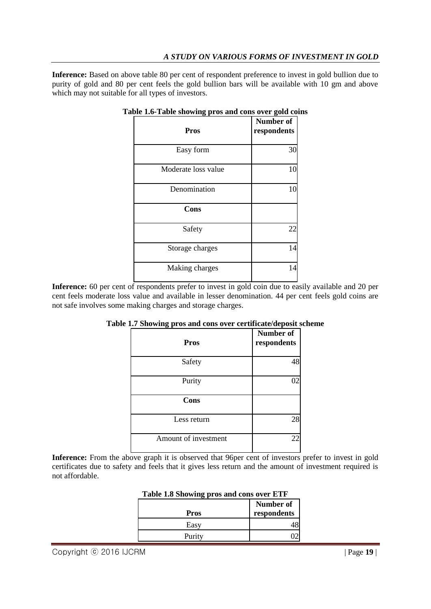# *A STUDY ON VARIOUS FORMS OF INVESTMENT IN GOLD*

**Inference:** Based on above table 80 per cent of respondent preference to invest in gold bullion due to purity of gold and 80 per cent feels the gold bullion bars will be available with 10 gm and above which may not suitable for all types of investors.

| <b>Pros</b>         | Number of<br>respondents |
|---------------------|--------------------------|
| Easy form           | 30                       |
| Moderate loss value | 10                       |
| Denomination        | 10                       |
| Cons                |                          |
| Safety              | 22                       |
| Storage charges     | 14                       |
| Making charges      | 14                       |

### **Table 1.6-Table showing pros and cons over gold coins**

**Inference:** 60 per cent of respondents prefer to invest in gold coin due to easily available and 20 per cent feels moderate loss value and available in lesser denomination. 44 per cent feels gold coins are not safe involves some making charges and storage charges.

| <b>Pros</b>          | <b>Number of</b><br>respondents |
|----------------------|---------------------------------|
| Safety               | 48                              |
| Purity               | 02                              |
| <b>Cons</b>          |                                 |
| Less return          | 28                              |
| Amount of investment |                                 |

## **Table 1.7 Showing pros and cons over certificate/deposit scheme**

**Inference:** From the above graph it is observed that 96per cent of investors prefer to invest in gold certificates due to safety and feels that it gives less return and the amount of investment required is not affordable.

| Table 1.0 Showing pros and cons over ETF |             |
|------------------------------------------|-------------|
|                                          | Number of   |
| Pros                                     | respondents |
| Easy                                     |             |
| Purity                                   |             |

# **Table 1.8 Showing pros and cons over ETF**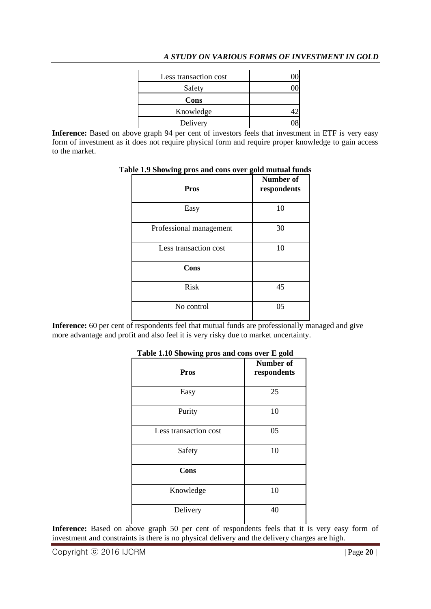# *A STUDY ON VARIOUS FORMS OF INVESTMENT IN GOLD*

| Less transaction cost |  |
|-----------------------|--|
| Safety                |  |
| Cons                  |  |
| Knowledge             |  |
| Delivery              |  |

Inference: Based on above graph 94 per cent of investors feels that investment in ETF is very easy form of investment as it does not require physical form and require proper knowledge to gain access to the market.

| <b>Pros</b>             | <b>Number of</b><br>respondents |
|-------------------------|---------------------------------|
| Easy                    | 10                              |
| Professional management | 30                              |
| Less transaction cost   | 10                              |
| Cons                    |                                 |
| <b>Risk</b>             | 45                              |
| No control              | 05                              |

### **Table 1.9 Showing pros and cons over gold mutual funds**

**Inference:** 60 per cent of respondents feel that mutual funds are professionally managed and give more advantage and profit and also feel it is very risky due to market uncertainty.

| Table 1.10 bhowing pros and cons over L gold |                                 |
|----------------------------------------------|---------------------------------|
| <b>Pros</b>                                  | <b>Number of</b><br>respondents |
| Easy                                         | 25                              |
| Purity                                       | 10                              |
| Less transaction cost                        | 05                              |
| Safety                                       | 10                              |
| Cons                                         |                                 |
| Knowledge                                    | 10                              |
| Delivery                                     | 40                              |

# **Table 1.10 Showing pros and cons over E gold**

Inference: Based on above graph 50 per cent of respondents feels that it is very easy form of investment and constraints is there is no physical delivery and the delivery charges are high.